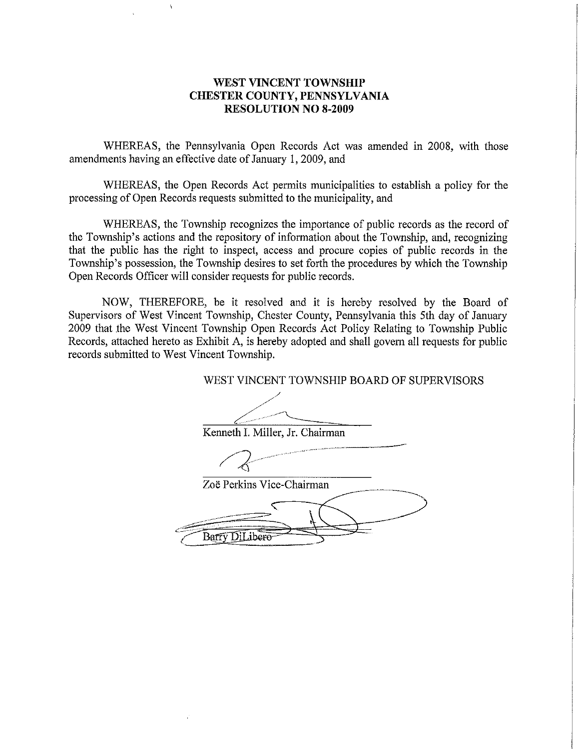#### WEST VINCENT TOWNSHIP CHESTER COUNTY, PENNSYLVANIA RESOLUTION NO 8-2009

WHEREAS, the Pennsylvania Open Records Act was amended in 2008, with those amendments having an effective date of January 1, 2009, and

WHEREAS, the Open Records Act permits municipalities to establish a policy for the processing of Open Records requests submitted to the municipality, and

WHEREAS, the Township recognizes the importance of public records as the record of the Township's actions and the repository of information about the Township, and, recognizing that the public has the right to inspect, access and procure copies of public records in the Township's possession, the Township desires to set forth the procedures by which the Township Open Records Officer will consider requests for public records

NOW, THEREFORE, be it resolved and it is hereby resolved by the Board of Supervisors of West Vincent Township, Chester County, Pennsylvania this 5th day of January 2009 that the West Vincent Township Open Records Act Policy Relating to Township Public Records, attached hereto as Exhibit A, is hereby adopted and shall govern all requests for public records submitted to West Vincent Township

WEST VINCENT TOWNSHlP BOARD OF SUPERVISORS

Kenneth I. Miller, Jr. Chairman

 $\frac{2}{\pi}$ neth I.

Zoë Perkins Vice-Chairman

Barry DiLibero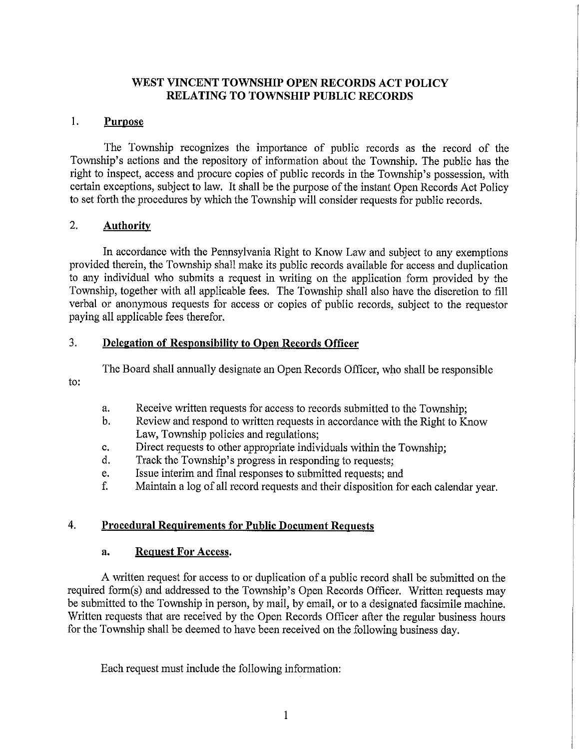# WEST VINCENT TOWNSHIP OPEN RECORDS ACT POLICY RELATING TO TOWNSHIP PUBLIC RECORDS

## 1. Purpose

The Township recognizes the importance of public records as the record of the Township's actions and the repository of information about the Township. The public has the right to inspect, access and procure copies of public records in the Township's possession, with certain exceptions, subject to law. It shall be the purpose of the instant Open Records Act Policy to set forth the procedures by which the Township will consider requests for public records

## 2. Authority

In accordance with the Pennsylvania Right to Know Law and subject to any exemptions provided therein, the Township shall make its public records available for access and duplication to any individual who submits <sup>a</sup> request in writing on the application form provided by the Township, together with all applicable fees. The Township shall also have the discretion to fill verbal or anonymous requests for access or copies of public records, subject to the requestor paying all applicable fees therefor

## 3. Delegation of Responsibility to Open Records Officer

The Board shall annually designate an Open Records Officer, who shall be responsible

to

- a. Receive written requests for access to records submitted to the Township;<br>b. Review and respond to written requests in accordance with the Right to K
- Review and respond to written requests in accordance with the Right to Know Law, Township policies and regulations;
- c. Direct requests to other appropriate individuals within the Township;<br>d. Track the Township's progress in responding to requests:
- d. Track the Township's progress in responding to requests
- e. Issue interim and final responses to submitted requests; and f. Maintain a log of all record requests and their disposition for
- Maintain a log of all record requests and their disposition for each calendar year.

# 4. Procedural Requirements for Public Document Requests

## a. Request For Access.

A written request for access to or duplication of a public record shall be submitted on the required form(s) and addressed to the Township's Open Records Officer. Written requests may be submitted to the Township in person, by mail, by email, or to a designated facsimile machine. Written requests that are received by the Open Records Officer after the regular business hours for the Township shall be deemed to have been received on the following business day

Each request must include the following information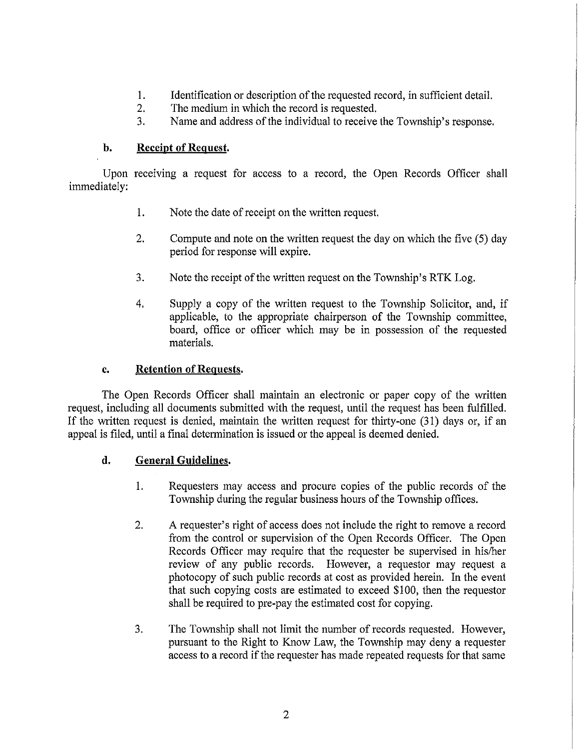- I. Identification or description of the requested record, in sufficient detail.<br>2. The medium in which the record is requested.
- 2. The medium in which the record is requested.<br>3. Name and address of the individual to receive
- 3. Name and address of the individual to receive the Township's response

# b. Receipt of Request.

Upon receiving a request for access to a record, the Open Records Officer shall immediately

- 1. Note the date of receipt on the written request.
- 2. Compute and note on the written request the day on which the five (5) day period for response will expire
- 3. Note the receipt of the written request on the Township's RTK Log.
- 4. Supply a copy of the written request to the Township Solicitor, and, if applicable, to the appropriate chairperson of the Township committee, board, office or officer which may be in possession of the requested materials

## c. Retention of Requests.

The Open Records Officer shall maintain an electronic or paper copy of the written request, including all documents submitted with the request, until the request has been fulfilled. If the written request is denied, maintain the written request for thirty-one  $(31)$  days or, if an appeal is filed, until a final determination is issued or the appeal is deemed denied.

# d. General Guidelines.

- 1. Requesters may access and procure copies of the public records of the Township during the regular business hours of the Township offices.
- 2. A requester's right of access does not include the right to remove a record from the control or supervision of the Open Records Officer. The Open Records Officer may require that the requester be supervised in his/her review of any public records. However, a requestor may request a photocopy of such public records at cost as provided herein. In the event that such copying costs are estimated to exceed \$100, then the requestor shall be required to pre-pay the estimated cost for copying.
- 3. The Township shall not limit the number of records requested. However, pursuant to the Right to Know Law, the Township may deny a requester access to <sup>a</sup> record if the requester has made repeated requests for that same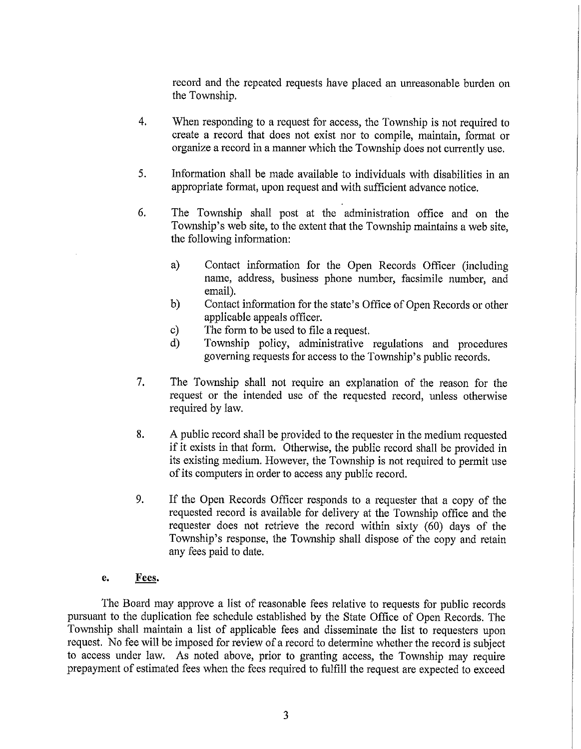record and the repeated requests have placed an umeasonable burden on the Township

- 4. When responding to a request for access, the Township is not required to create a record that does not exist nor to compile, maintain, format or organize <sup>a</sup> record in <sup>a</sup> manner which the Township does not currently use
- <sup>5</sup> Information shall be made available to individuals with disabilities in an appropriate format, upon request and with sufficient advance notice.
- 6 The Township shall post at the administration office and on the Township's web site, to the extent that the Township maintains a web site, the following information
	- a) Contact information for the Open Records Officer (including name, address, business phone number, facsimile number, and email).
	- b) Contact information for the state's Office of Open Records or other applicable appeals officer
	- c) The form to be used to file a request
	- d) Township policy, administrative regulations and procedures governing requests for access to the Township's public records.
- 7. The Township shall not require an explanation of the reason for the request or the intended use of the requested record, unless otherwise required by law
- 8. A public record shall be provided to the requester in the medium requested if it exists in that form. Otherwise, the public record shall be provided in its existing medium. However, the Township is not required to permit use of its computers in order to access any public record.
- 9. If the Open Records Officer responds to a requester that a copy of the requested record is available for delivery at the Township office and the requester does not retrieve the record within sixty  $(60)$  days of the Township's response, the Township shall dispose of the copy and retain any fees paid to date

## e. Fees.

The Board may approve <sup>a</sup> list of reasonable fees relative to requests for public records pursuant to the duplication fee schedule established by the State Office of Open Records. The Township shall maintain <sup>a</sup> list of applicable fees and disseminate the list to requesters upon request. No fee will be imposed for review of a record to determine whether the record is subject to access under law. As noted above, prior to granting access, the Township may require prepayment of estimated fees when the fees required to fulfill the request are expected to exceed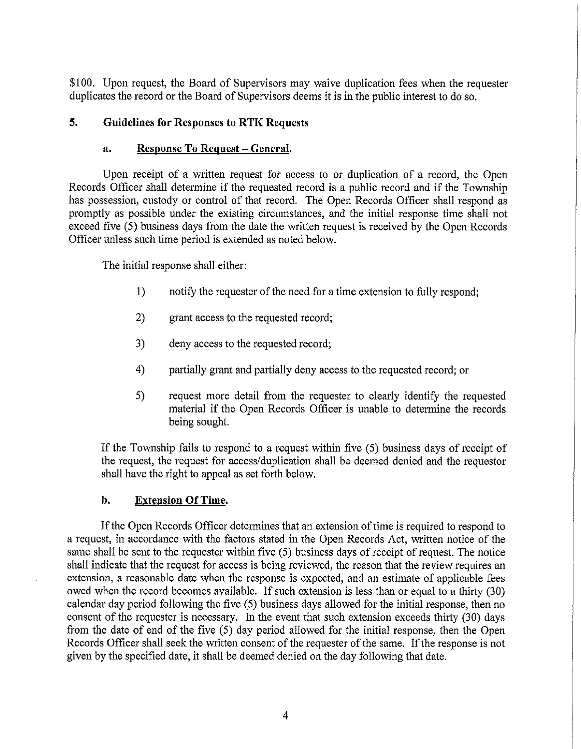\$100. Upon request, the Board of Supervisors may waive duplication fees when the requester duplicates the record or the Board of Supervisors deems it is in the public interest to do so.

## 5. Guidelines for Responses to RTK Requests

#### a. Response To Request - General.

Upon receipt of a written request for access to or duplication of a record, the Open Records Officer shall determine if the requested record is a public record and if the Township has possession, custody or control of that record. The Open Records Officer shall respond as promptly as possible under the existing circumstances and the initial response time shall not exceed five (5) business days from the date the written request is received by the Open Records Officer unless such time period is extended as noted below

The initial response shall either

- 1) notify the requester of the need for a time extension to fully respond;
- 2) grant access to the requested record;
- 3) deny access to the requested record;
- 4) partially grant and partially deny access to the requested record; or
- 5) request more detail from the requester to clearly identify the requested material if the Open Records Officer is unable to determine the records being sought

If the Township fails to respond to a request within five (5) business days of receipt of the request, the request for access/duplication shall be deemed denied and the requestor shall have the right to appeal as set forth below

#### b. Extension Of Time.

If the Open Records Officer determines that an extension of time is required to respond to a request, in accordance with the factors stated in the Open Records Act, written notice of the same shall be sent to the requester within five (5) business days of receipt of request. The notice shall indicate that the request for access is being reviewed, the reason that the review requires an extension, a reasonable date when the response is expected, and an estimate of applicable fees owed when the record becomes available. If such extension is less than or equal to a thirty (30 calendar day period following the five  $(5)$  business days allowed for the initial response, then no consent of the requester is necessary. In the event that such extension exceeds thirty (30) days from the date of end of the five  $(5)$  day period allowed for the initial response, then the Open Records Officer shall seek the written consent of the requester of the same. If the response is not given by the specified date, it shall be deemed denied on the day following that date.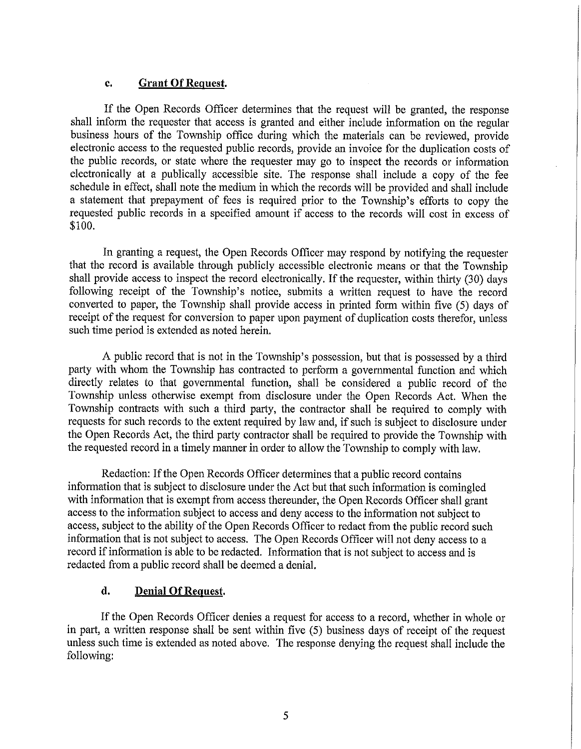#### c. Grant Of Request.

If the Open Records Officer determines that the request will be granted, the response shall inform the requester that access is granted and either include information on the regular business hours of the Township office during which the materials can be reviewed, provide electronic access to the requested public records, provide an invoice for the duplication costs of the public records or state where the requester may go to inspect the records or information electronically at <sup>a</sup> publically accessible site The response shall include <sup>a</sup> copy of the fee schedule in effect, shall note the medium in which the records will be provided and shall include a statement that prepayment of fees is required prior to the Township's efforts to copy the requested public records in <sup>a</sup> specified amount if access to the records will cost in excess of \$100.

In granting a request, the Open Records Officer may respond by notifying the requester that the record is available through publicly accessible electronic means or that the Township shall provide access to inspect the record electronically. If the requester, within thirty  $(30)$  days following receipt of the Township's notice, submits a written request to have the record converted to paper, the Township shall provide access in printed form within five (5) days of receipt of the request for conversion to paper upon payment of duplication costs therefor, unless such time period is extended as noted herein

A public record that is not in the Township's possession, but that is possessed by a third patty with whom the Township has contracted to perform <sup>a</sup> governmental function and which directly relates to that governmental function, shall be considered a public record of the Township unless otherwise exempt from disclosure under the Open Records Act When the Township contracts with such a third party, the contractor shall be required to comply with requests for such records to the extent required by law and if such is subject to disclosure under the Open Records Act, the third party contractor shall be required to provide the Township with the requested record in a timely manner in order to allow the Township to comply with law

Redaction: If the Open Records Officer determines that a public record contains information that is subject to disclosure under the Act but that such information is comingled with information that is exempt from access thereunder, the Open Records Officer shall grant access to the information subject to access and deny access to the information not subject to access, subject to the ability of the Open Records Officer to redact from the public record such information that is not subject to access. The Open Records Officer will not deny access to a record if information is able to be redacted. Information that is not subject to access and is redacted from a public record shall be deemed a denial.

## d. Denial Of Request.

If the Open Records Officer denies a request for access to a record, whether in whole or in part, a written response shall be sent within five  $(5)$  business days of receipt of the request unless such time is extended as noted above. The response denying the request shall include the following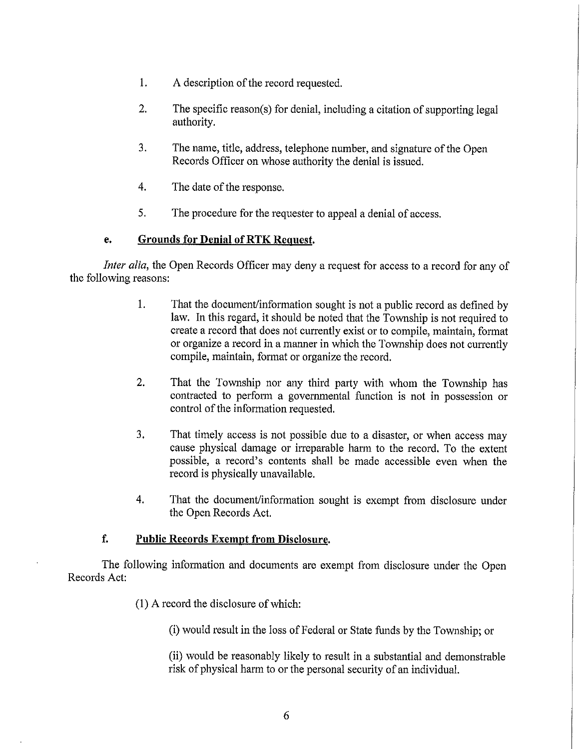- 1. A description of the record requested.
- 2. The specific reason(s) for denial, including a citation of supporting legal authority
- 3. The name, title, address, telephone number, and signature of the Open Records Officer on whose authority the denial is issued
- 4. The date of the response.
- 5. The procedure for the requester to appeal a denial of access.

## e. Grounds for Denial of RTK Request.

Inter alia, the Open Records Officer may deny a request for access to a record for any of the following reasons

- 1. That the document/information sought is not a public record as defined by law. In this regard, it should be noted that the Township is not required to create a record that does not currently exist or to compile, maintain, format or organize <sup>a</sup> record in <sup>a</sup> manner in which the Township does not currently compile, maintain, format or organize the record.
- 2. That the Township nor any third party with whom the Township has contracted to perform <sup>a</sup> governmental function is not in possession or control of the information requested.
- 3. That timely access is not possible due to a disaster, or when access may cause physical damage or irreparable harm to the record. To the extent possible, a record's contents shall be made accessible even when the record is physically unavailable
- 4. That the document/information sought is exempt from disclosure under the Open Records Act

# f. Public Records Exempt from Disclosure.

The following information and documents are exempt from disclosure under the Open Records Act

 $(1)$  A record the disclosure of which:

(i) would result in the loss of Federal or State funds by the Township; or

(ii) would be reasonably likely to result in a substantial and demonstrable risk of physical harm to or the personal security of an individual.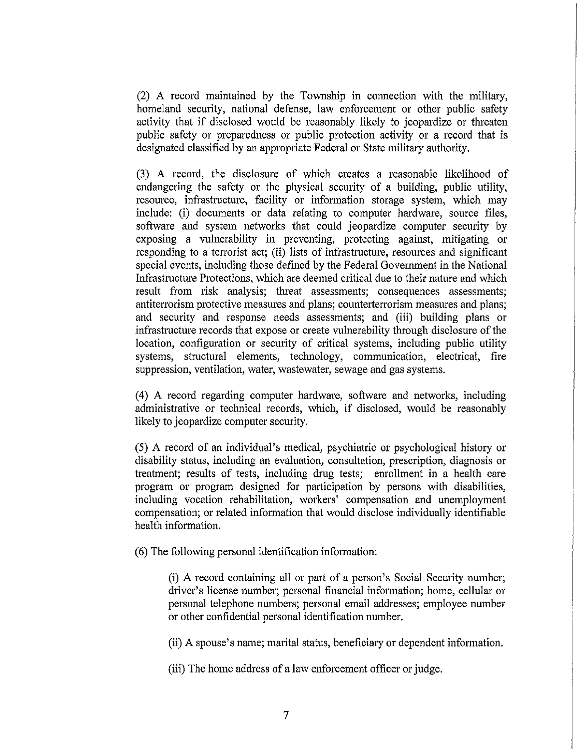<sup>2</sup> A record maintained by the Township in connection with the military homeland security, national defense, law enforcement or other public safety activity that if disclosed would be reasonably likely to jeopardize or threaten public safety or preparedness or public protection activity or <sup>a</sup> record that is designated classified by an appropriate Federal or State military authority

(3) A record, the disclosure of which creates a reasonable likelihood of endangering the safety or the physical security of a building, public utility, resource, infrastructure, facility or information storage system, which may include: (i) documents or data relating to computer hardware, source files, software and system networks that could jeopardize computer security by exposing a vulnerability in preventing, protecting against, mitigating or responding to a terrorist act; (ii) lists of infrastructure, resources and significant special events, including those defined by the Federal Government in the National Infrastructure Protections, which are deemed critical due to their nature and which result from risk analysis; threat assessments; consequences assessments; antiterrorism protective measures and plans; counterterrorism measures and plans; and security and response needs assessments; and (iii) building plans or infrastructure records that expose or create vulnerability through disclosure of the location, configuration or security of critical systems, including public utility systems, structural elements, technology, communication, electrical, fire suppression, ventilation, water, wastewater, sewage and gas systems.

<sup>4</sup> A record regarding computer hardware software and networks including administrative or technical records, which, if disclosed, would be reasonably likely to jeopardize computer security.

<sup>5</sup> A record of an individual <sup>s</sup> medical psychiatric or psychological history or disability status, including an evaluation, consultation, prescription, diagnosis or treatment; results of tests, including drug tests; enrollment in a health care program or program designed for participation by persons with disabilities including vocation rehabilitation, workers' compensation and unemployment compensation; or related information that would disclose individually identifiable health information

(6) The following personal identification information:

(i) A record containing all or part of a person's Social Security number; driver's license number; personal financial information; home, cellular or personal telephone numbers; personal email addresses; employee number or other confidential personal identification number

(ii) A spouse's name; marital status, beneficiary or dependent information.

(iii) The home address of a law enforcement officer or judge.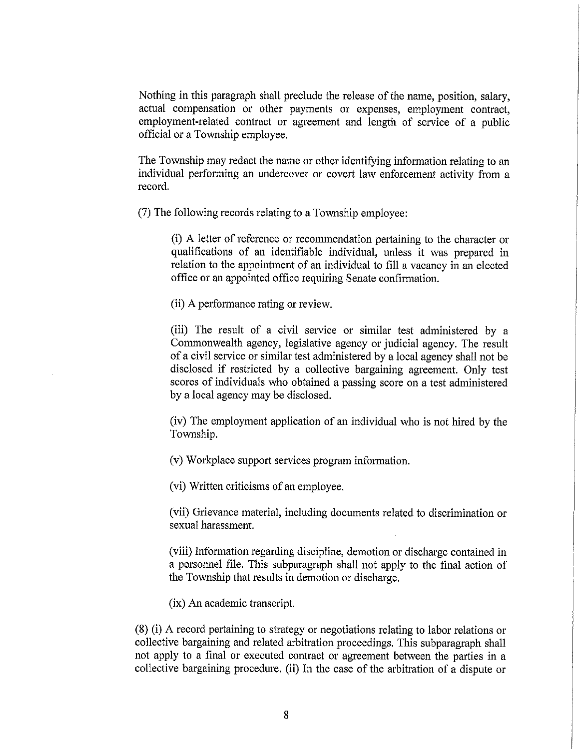Nothing in this paragraph shall preclude the release of the name, position, salary, actual compensation or other payments or expenses, employment contract, employment-related contract or agreement and length of service of a public official or a Township employee.

The Township may redact the name or other identifying information relating to an individual performing an undercover or covert law enforcement activity from a record

7 The following records relating to a Township employee

(i) A letter of reference or recommendation pertaining to the character or qualifications of an identifiable individual, unless it was prepared in relation to the appointment of an individual to fill a vacancy in an elected office or an appointed office requiring Senate confirmation

(ii) A performance rating or review.

(iii) The result of a civil service or similar test administered by a Commonwealth agency, legislative agency or judicial agency. The result of <sup>a</sup> civil service or similar test administered by <sup>a</sup> local agency shall not be disclosed if restricted by a collective bargaining agreement. Only test scores of individuals who obtained <sup>a</sup> passing score on <sup>a</sup> test administered by a local agency may be disclosed

iv The employment application of an individual who is not hired by the Township

 $(v)$  Workplace support services program information.

(vi) Written criticisms of an employee.

(vii) Grievance material, including documents related to discrimination or sexual harassment

(viii) Information regarding discipline, demotion or discharge contained in a personnel file. This subparagraph shall not apply to the final action of the Township that results in demotion or discharge.

 $(ix)$  An academic transcript.

 $(8)$  (i) A record pertaining to strategy or negotiations relating to labor relations or collective bargaining and related arbitration proceedings. This subparagraph shall not apply to a final or executed contract or agreement between the parties in a collective bargaining procedure. (ii) In the case of the arbitration of a dispute or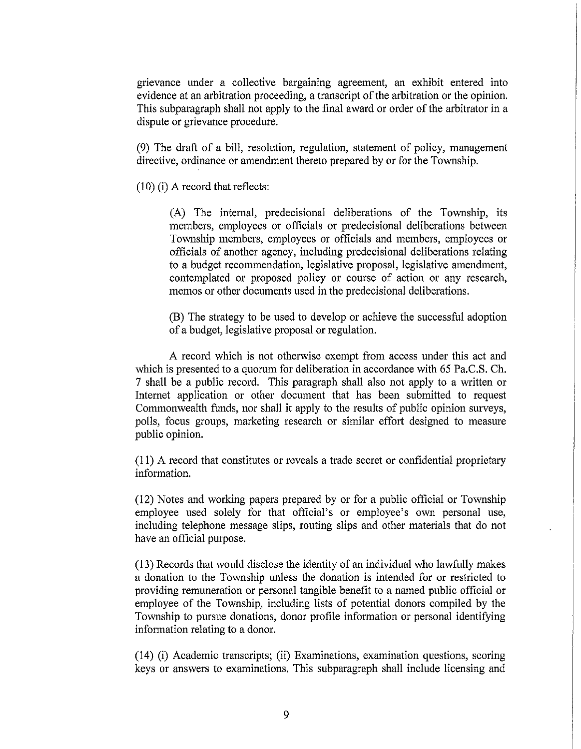grievance under a collective bargaining agreement, an exhibit entered into evidence at an arbitration proceeding, a transcript of the arbitration or the opinion. This subparagraph shall not apply to the final award or order of the arbitrator in a dispute or grievance procedure.

(9) The draft of a bill, resolution, regulation, statement of policy, management directive, ordinance or amendment thereto prepared by or for the Township.

 $(10)$  (i) A record that reflects:

(A) The internal, predecisional deliberations of the Township, its members, employees or officials or predecisional deliberations between Township members, employees or officials and members, employees or officials of another agency including predecisional deliberations relating to a budget recommendation, legislative proposal, legislative amendment, contemplated or proposed policy or course of action or any research memos or other documents used in the predecisional deliberations

B The strategy to be used to develop or achieve the successful adoption of a budget, legislative proposal or regulation.

A record which is not otherwise exempt from access under this act and which is presented to a quorum for deliberation in accordance with 65 Pa.C.S. Ch. 7 shall be a public record. This paragraph shall also not apply to a written or Internet application or other document that has been submitted to request Commonwealth funds, nor shall it apply to the results of public opinion surveys, polls, focus groups, marketing research or similar effort designed to measure public opinion

 $(11)$  A record that constitutes or reveals a trade secret or confidential proprietary information

12 Notes and working papers prepared by or for <sup>a</sup> public official or Township employee used solely for that official's or employee's own personal use, including telephone message slips routing slips and other materials that do not have an official purpose

<sup>13</sup> Records that would disclose the identity of an individual who lawfully makes a donation to the Township unless the donation is intended for or restricted to providing remuneration or personal tangible benefit to a named public official or employee of the Township, including lists of potential donors compiled by the Township to pursue donations, donor profile information or personal identifying information relating to a donor.

 $(14)$  (i) Academic transcripts; (ii) Examinations, examination questions, scoring keys or answers to examinations This subparagraph shall include licensing and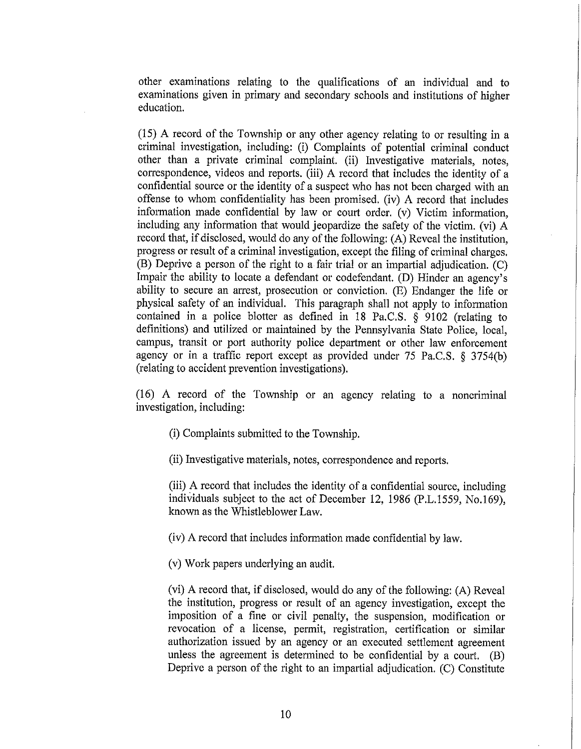other examinations relating to the qualifications of an individual and to examinations given in primary and secondary schools and institutions of higher education

 $(15)$  A record of the Township or any other agency relating to or resulting in a criminal investigation, including: (i) Complaints of potential criminal conduct other than a private criminal complaint. (ii) Investigative materials, notes, correspondence, videos and reports. (iii) A record that includes the identity of a confidential source or the identity of <sup>a</sup> suspect who has not been charged with an offense to whom confidentiality has been promised. (iv) A record that includes information made confidential by law or court order. (v) Victim information, including any information that would jeopardize the safety of the victim. (vi) A record that, if disclosed, would do any of the following:  $(A)$  Reveal the institution. progress or result of a criminal investigation, except the filing of criminal charges.  $(B)$  Deprive a person of the right to a fair trial or an impartial adjudication.  $(C)$ Impair the ability to locate a defendant or codefendant. (D) Hinder an agency's ability to secure an arrest, prosecution or conviction. (E) Endanger the life or physical safety of an individual This paragraph shall not apply to information contained in a police blotter as defined in  $18$  Pa.C.S.  $\frac{1}{8}$  9102 (relating to definitions) and utilized or maintained by the Pennsylvania State Police, local, campus, transit or port authority police department or other law enforcement agency or in a traffic report except as provided under 75 Pa.C.S.  $\S$  3754(b) (relating to accident prevention investigations).

<sup>16</sup> A record of the Township or an agency relating to <sup>a</sup> noncriminal investigation, including:

- (i) Complaints submitted to the Township.
- (ii) Investigative materials, notes, correspondence and reports.

(iii) A record that includes the identity of a confidential source, including individuals subject to the act of December 12, 1986 (P.L.1559, No.169), known as the Whistleblower Law

(iv) A record that includes information made confidential by law.

(v) Work papers underlying an audit.

(vi) A record that, if disclosed, would do any of the following:  $(A)$  Reveal the institution, progress or result of an agency investigation, except the imposition of a fine or civil penalty, the suspension, modification or revocation of a license, permit, registration, certification or similar authorization issued by an agency or an executed settlement agreement unless the agreement is determined to be confidential by a court.  $(B)$ Deprive a person of the right to an impartial adjudication. (C) Constitute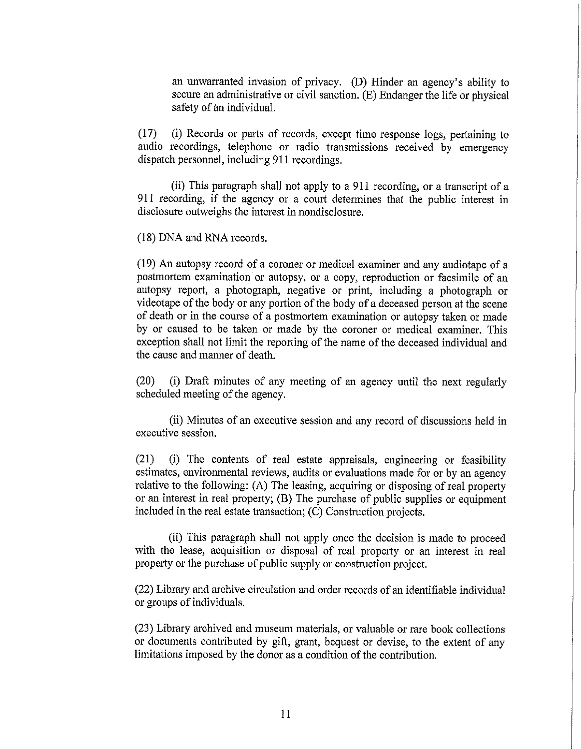an unwarranted invasion of privacy. (D) Hinder an agency's ability to secure an administrative or civil sanction.  $(E)$  Endanger the life or physical safety of an individual.

(17) (i) Records or parts of records, except time response logs, pertaining to audio recordings, telephone or radio transmissions received by emergency dispatch personnel, including 911 recordings.

(ii) This paragraph shall not apply to a 911 recording, or a transcript of a 911 recording, if the agency or a court determines that the public interest in disclosure outweighs the interest in nondisclosure.

(18) DNA and RNA records.

 $(19)$  An autopsy record of a coroner or medical examiner and any audiotape of a postmortem examination or autopsy, or a copy, reproduction or facsimile of an autopsy report, a photograph, negative or print, including a photograph or videotape of the body or any portion of the body of a deceased person at the scene of death or in the course of a postmortem examination or autopsy taken or made by or caused to be taken or made by the coroner or medical examiner. This exception shall not limit the reporting of the name of the deceased individual and the cause and manner of death.

(20) (i) Draft minutes of any meeting of an agency until the next regularly scheduled meeting of the agency.

(ii) Minutes of an executive session and any record of discussions held in executive session

(21) (i) The contents of real estate appraisals, engineering or feasibility estimates, environmental reviews, audits or evaluations made for or by an agency relative to the following: (A) The leasing, acquiring or disposing of real property or an interest in real property;  $(B)$  The purchase of public supplies or equipment included in the real estate transaction;  $(C)$  Construction projects.

(ii) This paragraph shall not apply once the decision is made to proceed with the lease, acquisition or disposal of real property or an interest in real property or the purchase of public supply or construction project.

22 Library and archive circulation and order records of an identifiable individual or groups of individuals.

 $(23)$  Library archived and museum materials, or valuable or rare book collections or documents contributed by gift, grant, bequest or devise, to the extent of any limitations imposed by the donor as a condition of the contribution.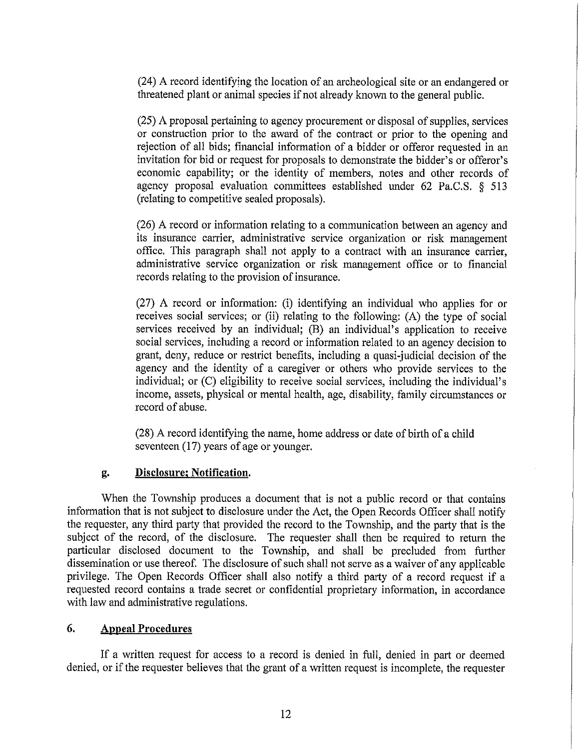<sup>24</sup> A record identifying the location of an archeological site or an endangered or threatened plant or animal species if not already known to the general public

 $(25)$  A proposal pertaining to agency procurement or disposal of supplies, services or construction prior to the award of the contract or prior to the opening and rejection of all bids; financial information of a bidder or offeror requested in an invitation for bid or request for proposals to demonstrate the bidder's or offeror's economic capability; or the identity of members, notes and other records of agency proposal evaluation committees established under 62 Pa.C.S.  $\S$  513 (relating to competitive sealed proposals).

26 A record or information relating to acommunication between an agency and its insurance carrier, administrative service organization or risk management office. This paragraph shall not apply to a contract with an insurance carrier, administrative service organization or risk management office or to financial records relating to the provision of insurance.

27) A record or information: (i) identifying an individual who applies for or receives social services; or (ii) relating to the following:  $(A)$  the type of social services received by an individual;  $(B)$  an individual's application to receive social services, including a record or information related to an agency decision to grant, deny, reduce or restrict benefits, including a quasi-judicial decision of the agency and the identity of a caregiver or others who provide services to the individual; or  $(C)$  eligibility to receive social services, including the individual's income, assets, physical or mental health, age, disability, family circumstances or record of abuse.

(28) A record identifying the name, home address or date of birth of a child seventeen  $(17)$  years of age or younger.

#### g. Disclosure; Notification.

When the Township produces <sup>a</sup> document that is not <sup>a</sup> public record or that contains information that is not subject to disclosure under the Act, the Open Records Officer shall notify the requester, any third party that provided the record to the Township, and the party that is the subject of the record, of the disclosure. The requester shall then be required to return the particular disclosed document to the Township, and shall be precluded from further dissemination or use thereof. The disclosure of such shall not serve as a waiver of any applicable privilege. The Open Records Officer shall also notify a third party of a record request if a requested record contains a trade secret or confidential proprietary information, in accordance with law and administrative regulations.

#### 6. Appeal Procedures

If a written request for access to a record is denied in full, denied in part or deemed denied, or if the requester believes that the grant of a written request is incomplete, the requester